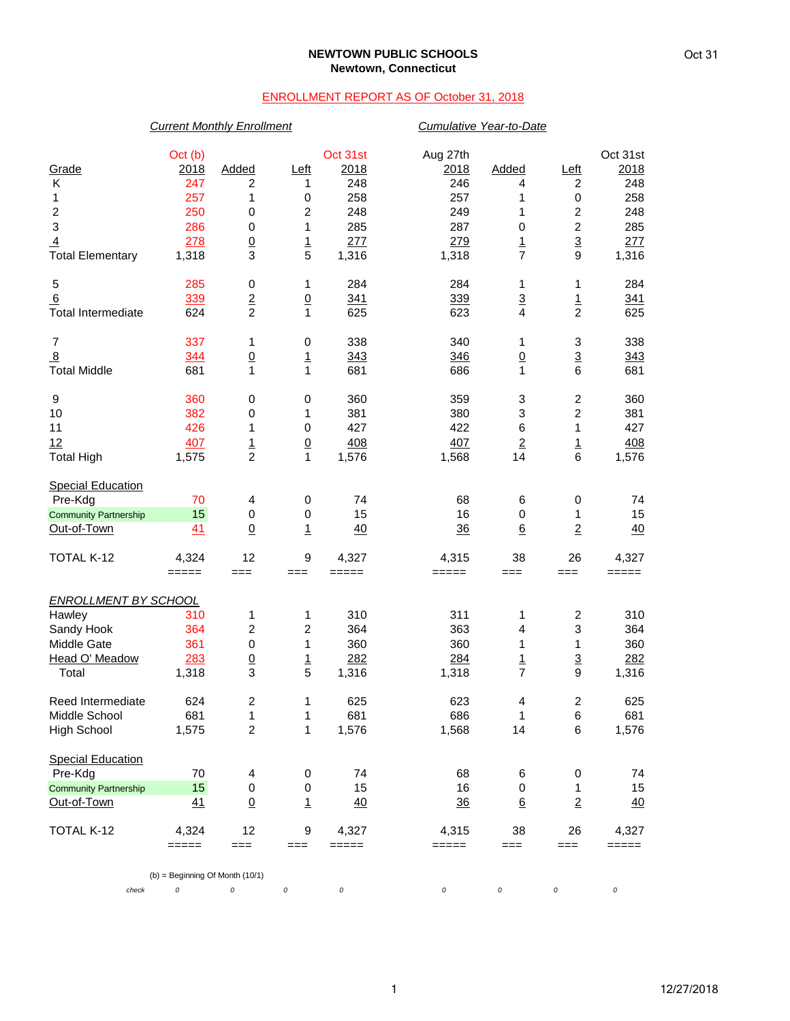## **NEWTOWN PUBLIC SCHOOLS Newtown, Connecticut**

## ENROLLMENT REPORT AS OF October 31, 2018

|                              | <b>Current Monthly Enrollment</b>      |                 |                  |                |                | Cumulative Year-to-Date |                         |                |  |  |
|------------------------------|----------------------------------------|-----------------|------------------|----------------|----------------|-------------------------|-------------------------|----------------|--|--|
|                              | Oct (b)                                |                 |                  | Oct 31st       | Aug 27th       |                         |                         | Oct 31st       |  |  |
| Grade                        | 2018                                   | Added           | <u>Left</u>      | 2018           | 2018           | Added                   | <u>Left</u>             | 2018           |  |  |
| Κ                            | 247                                    | 2               | 1                | 248            | 246            | 4                       | 2                       | 248            |  |  |
| 1                            | 257                                    | 1               | 0                | 258            | 257            | 1                       | 0                       | 258            |  |  |
| $\overline{c}$               | 250                                    | $\pmb{0}$       | $\overline{c}$   | 248            | 249            | 1                       | $\overline{c}$          | 248            |  |  |
| 3                            | 286                                    | $\pmb{0}$       | 1                | 285            | 287            | $\pmb{0}$               | $\overline{c}$          | 285            |  |  |
| $\overline{4}$               | 278                                    | $\underline{0}$ | $\overline{1}$   | 277            | 279            | $\overline{1}$          | $\overline{3}$          | 277            |  |  |
| <b>Total Elementary</b>      | 1,318                                  | 3               | 5                | 1,316          | 1,318          | $\overline{7}$          | 9                       | 1,316          |  |  |
| 5                            | 285                                    | 0               | 1                | 284            | 284            | 1                       | 1                       | 284            |  |  |
| 6                            | 339                                    | $\overline{2}$  | $\overline{0}$   | 341            | 339            | $\overline{3}$          |                         | 341            |  |  |
| <b>Total Intermediate</b>    | 624                                    | $\overline{2}$  | $\mathbf{1}$     | 625            | 623            | $\overline{\mathbf{4}}$ | $\frac{1}{2}$           | 625            |  |  |
| $\overline{7}$               | 337                                    | 1               | 0                | 338            | 340            | 1                       | 3                       | 338            |  |  |
| 8                            | 344                                    | $\overline{0}$  | $\overline{1}$   | 343            | 346            | $\underline{0}$         | $\overline{3}$          | 343            |  |  |
| <b>Total Middle</b>          | 681                                    | 1               | 1                | 681            | 686            | 1                       | 6                       | 681            |  |  |
| 9                            | 360                                    | 0               | 0                | 360            | 359            | 3                       | $\overline{\mathbf{c}}$ | 360            |  |  |
| 10                           | 382                                    | $\pmb{0}$       | 1                | 381            | 380            | 3                       | $\overline{2}$          | 381            |  |  |
| 11                           | 426                                    | 1               | $\boldsymbol{0}$ | 427            | 422            | 6                       | 1                       | 427            |  |  |
| 12                           | 407                                    | $\frac{1}{2}$   | $\overline{0}$   | 408            | 407            | $\overline{2}$          | $\frac{1}{6}$           | 408            |  |  |
| <b>Total High</b>            | 1,575                                  |                 | 1                | 1,576          | 1,568          | 14                      |                         | 1,576          |  |  |
| <b>Special Education</b>     |                                        |                 |                  |                |                |                         |                         |                |  |  |
| Pre-Kdg                      | 70                                     | 4               | 0                | 74             | 68             | 6                       | 0                       | 74             |  |  |
| <b>Community Partnership</b> | 15                                     | $\pmb{0}$       | $\,0\,$          | 15             | 16             | 0                       | 1                       | 15             |  |  |
| Out-of-Town                  | 41                                     | $\Omega$        | $\overline{1}$   | 40             | 36             | $\underline{6}$         | $\overline{2}$          | 40             |  |  |
| TOTAL K-12                   | 4,324                                  | 12              | 9                | 4,327          | 4,315          | 38                      | 26                      | 4,327          |  |  |
|                              | $=====$                                | $==$            | $==$             | $=====$        | =====          | $==$                    | $==$                    | $=====$        |  |  |
| <b>ENROLLMENT BY SCHOOL</b>  |                                        |                 |                  |                |                |                         |                         |                |  |  |
| Hawley                       | 310                                    | 1               | 1                | 310            | 311            | 1                       | $\overline{\mathbf{c}}$ | 310            |  |  |
| Sandy Hook                   | 364                                    | 2               | $\overline{c}$   | 364            | 363            | 4                       | 3                       | 364            |  |  |
| Middle Gate                  | 361                                    | $\pmb{0}$       | 1                | 360            | 360            | 1                       | 1                       | 360            |  |  |
| Head O' Meadow               | 283                                    | $\underline{0}$ | $\overline{1}$   | 282            | 284            | $\overline{1}$          | $\overline{3}$          | 282            |  |  |
| Total                        | 1,318                                  | 3               | 5                | 1,316          | 1,318          | $\overline{7}$          | 9                       | 1,316          |  |  |
| Reed Intermediate            | 624                                    | 2               | 1                | 625            | 623            | 4                       | 2                       | 625            |  |  |
| Middle School                | 681                                    | 1               | 1                | 681            | 686            | 1                       | 6                       | 681            |  |  |
| <b>High School</b>           | 1,575                                  | $\overline{c}$  | 1                | 1,576          | 1,568          | 14                      | 6                       | 1,576          |  |  |
| <b>Special Education</b>     |                                        |                 |                  |                |                |                         |                         |                |  |  |
| Pre-Kdg                      | 70                                     | 4               | 0                | 74             | 68             | 6                       | 0                       | 74             |  |  |
| <b>Community Partnership</b> | 15                                     | 0               | 0                | 15             | 16             | 0                       | 1                       | 15             |  |  |
| Out-of-Town                  | 41                                     | $\underline{0}$ | $\overline{1}$   | 40             | $\frac{36}{5}$ | $6\phantom{.}6$         | $\overline{2}$          | 40             |  |  |
| TOTAL K-12                   | 4,324<br>=====                         | 12<br>$==$      | 9<br>===         | 4,327<br>===== | 4,315<br>===== | 38<br>===               | 26<br>===               | 4,327<br>===== |  |  |
|                              |                                        |                 |                  |                |                |                         |                         |                |  |  |
| check                        | $(b)$ = Beginning Of Month (10/1)<br>0 | 0               | 0                | $\cal O$       | 0              | $\cal O$                | 0                       | 0              |  |  |